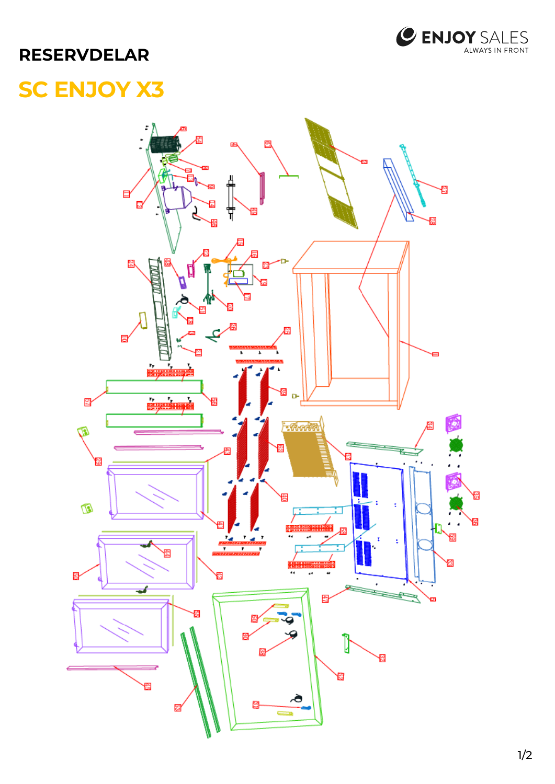

## **RESERVDELAR**

## **SC ENJOY X3**